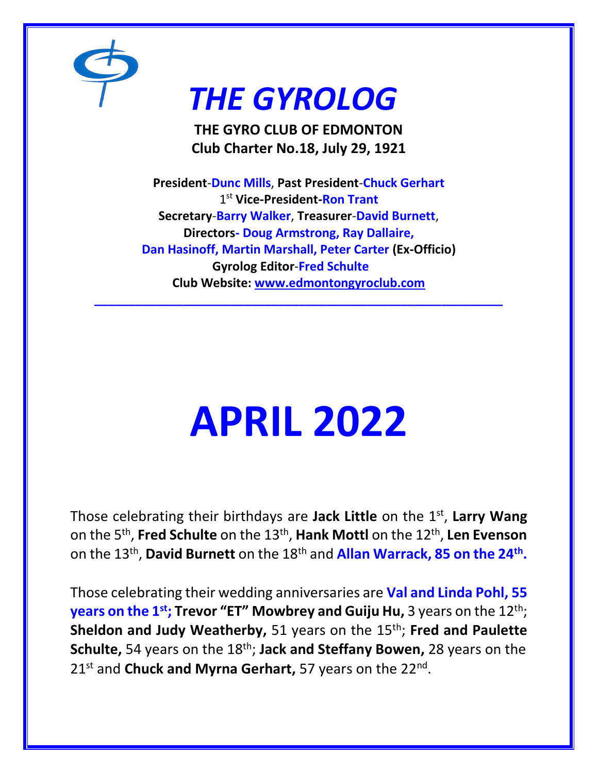

## *THE GYROLOG*

**THE GYRO CLUB OF EDMONTON Club Charter No.18, July 29, 1921**

**President**-**Dunc Mills**, **Past President**-**Chuck Gerhart** 1 st **Vice-President-Ron Trant Secretary**-**Barry Walker**, **Treasurer**-**David Burnett**, **Directors- Doug Armstrong, Ray Dallaire, Dan Hasinoff, Martin Marshall, Peter Carter (Ex-Officio) Gyrolog Editor**-**Fred Schulte Club Website: [www.edmontongyroclub.com](http://www.edmontongyroclub.com/)**

**\_\_\_\_\_\_\_\_\_\_\_\_\_\_\_\_\_\_\_\_\_\_\_\_\_\_\_\_\_\_\_\_\_\_\_\_\_\_\_\_\_\_\_\_\_\_\_\_\_\_\_\_\_\_\_\_\_\_\_\_**

# **APRIL 2022**

Those celebrating their birthdays are **Jack Little** on the 1st , **Larry Wang** on the 5th , **Fred Schulte** on the 13th , **Hank Mottl** on the 12th , **Len Evenson**  on the 13th , **David Burnett** on the 18th and **Allan Warrack, 85 on the 24th .**

Those celebrating their wedding anniversaries are **Val and Linda Pohl, 55 years on the 1<sup>st</sup>; Trevor "ET" Mowbrey and Guiju Hu, 3 years on the 12<sup>th</sup>; Sheldon and Judy Weatherby, 51 years on the 15<sup>th</sup>; Fred and Paulette Schulte,** 54 years on the 18th; **Jack and Steffany Bowen,** 28 years on the 21<sup>st</sup> and **Chuck and Myrna Gerhart,** 57 years on the 22<sup>nd</sup>.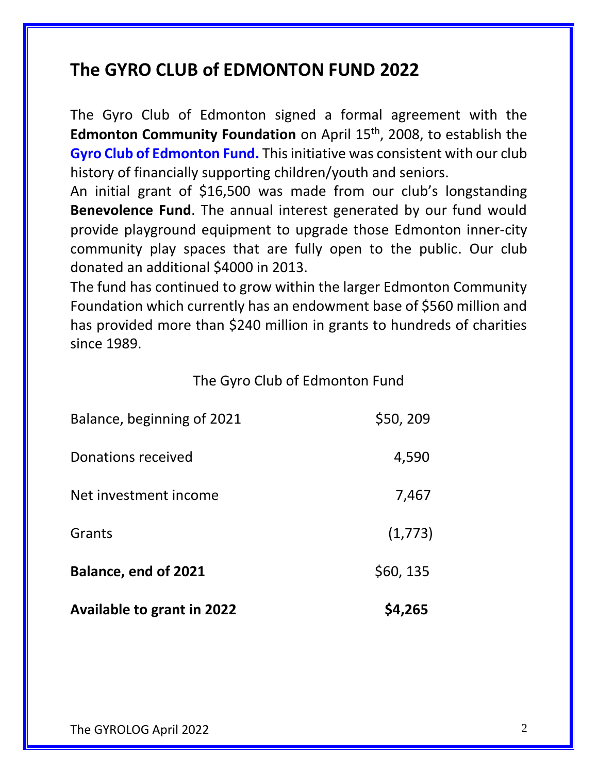#### **The GYRO CLUB of EDMONTON FUND 2022**

The Gyro Club of Edmonton signed a formal agreement with the **Edmonton Community Foundation** on April 15<sup>th</sup>, 2008, to establish the **Gyro Club of Edmonton Fund.** This initiative was consistent with our club history of financially supporting children/youth and seniors.

An initial grant of \$16,500 was made from our club's longstanding **Benevolence Fund**. The annual interest generated by our fund would provide playground equipment to upgrade those Edmonton inner-city community play spaces that are fully open to the public. Our club donated an additional \$4000 in 2013.

The fund has continued to grow within the larger Edmonton Community Foundation which currently has an endowment base of \$560 million and has provided more than \$240 million in grants to hundreds of charities since 1989.

#### The Gyro Club of Edmonton Fund

| <b>Available to grant in 2022</b> | \$4,265   |
|-----------------------------------|-----------|
| <b>Balance, end of 2021</b>       | \$60, 135 |
| Grants                            | (1,773)   |
| Net investment income             | 7,467     |
| Donations received                | 4,590     |
| Balance, beginning of 2021        | \$50,209  |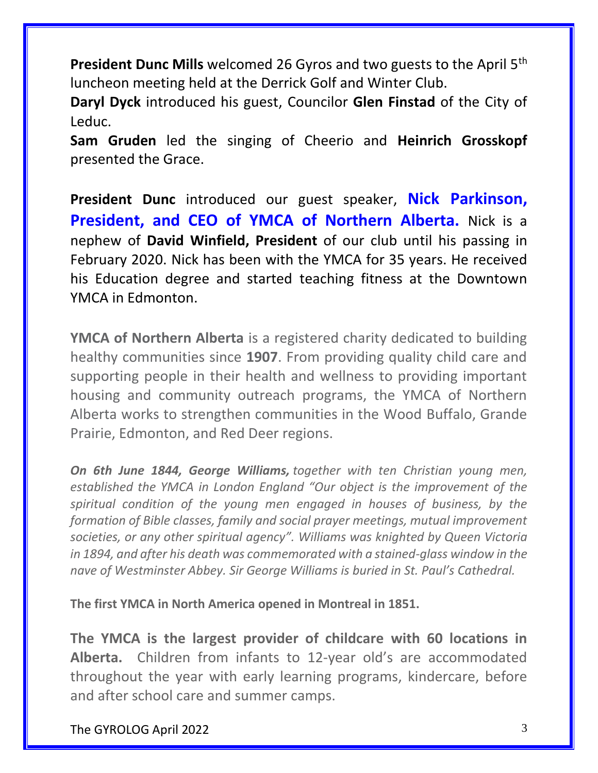**President Dunc Mills** welcomed 26 Gyros and two guests to the April 5th luncheon meeting held at the Derrick Golf and Winter Club.

**Daryl Dyck** introduced his guest, Councilor **Glen Finstad** of the City of Leduc.

**Sam Gruden** led the singing of Cheerio and **Heinrich Grosskopf** presented the Grace.

**President Dunc** introduced our guest speaker, **Nick Parkinson, President, and CEO of YMCA of Northern Alberta.** Nick is a nephew of **David Winfield, President** of our club until his passing in February 2020. Nick has been with the YMCA for 35 years. He received his Education degree and started teaching fitness at the Downtown YMCA in Edmonton.

**YMCA of Northern Alberta** is a registered charity dedicated to building healthy communities since **1907**. From providing quality child care and supporting people in their health and wellness to providing important housing and community outreach programs, the YMCA of Northern Alberta works to strengthen communities in the Wood Buffalo, Grande Prairie, Edmonton, and Red Deer regions.

*On 6th June 1844, George Williams, together with ten Christian young men, established the YMCA in London England "Our object is the improvement of the spiritual condition of the young men engaged in houses of business, by the formation of Bible classes, family and social prayer meetings, mutual improvement societies, or any other spiritual agency". Williams was knighted by Queen Victoria in 1894, and after his death was commemorated with a stained-glass window in the nave of Westminster Abbey. Sir George Williams is buried in St. Paul's Cathedral.*

**The first YMCA in North America opened in Montreal in 1851.**

**The YMCA is the largest provider of childcare with 60 locations in Alberta.** Children from infants to 12-year old's are accommodated throughout the year with early learning programs, kindercare, before and after school care and summer camps.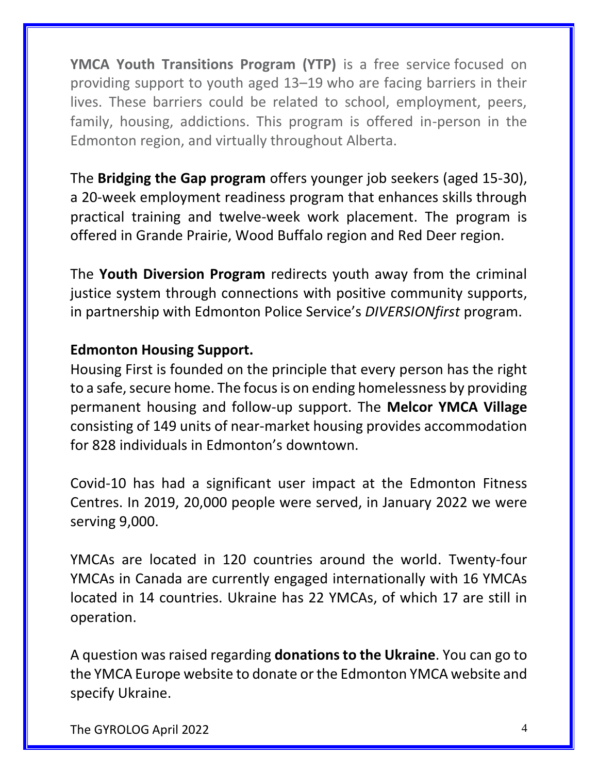**YMCA Youth Transitions Program (YTP)** is a free service focused on providing support to youth aged 13–19 who are facing barriers in their lives. These barriers could be related to school, employment, peers, family, housing, addictions. This program is offered in-person in the Edmonton region, and virtually throughout Alberta.

The **Bridging the Gap program** offers younger job seekers (aged 15-30), a 20-week employment readiness program that enhances skills through practical training and twelve-week work placement. The program is offered in Grande Prairie, Wood Buffalo region and Red Deer region.

The **Youth Diversion Program** redirects youth away from the criminal justice system through connections with positive community supports, in partnership with Edmonton Police Service's *DIVERSIONfirst* program.

#### **Edmonton Housing Support.**

Housing First is founded on the principle that every person has the right to a safe, secure home. The focus is on ending homelessness by providing permanent housing and follow-up support. The **Melcor YMCA Village** consisting of 149 units of near-market housing provides accommodation for 828 individuals in Edmonton's downtown.

Covid-10 has had a significant user impact at the Edmonton Fitness Centres. In 2019, 20,000 people were served, in January 2022 we were serving 9,000.

YMCAs are located in 120 countries around the world. Twenty-four YMCAs in Canada are currently engaged internationally with 16 YMCAs located in 14 countries. Ukraine has 22 YMCAs, of which 17 are still in operation.

A question was raised regarding **donations to the Ukraine**. You can go to the YMCA Europe website to donate or the Edmonton YMCA website and specify Ukraine.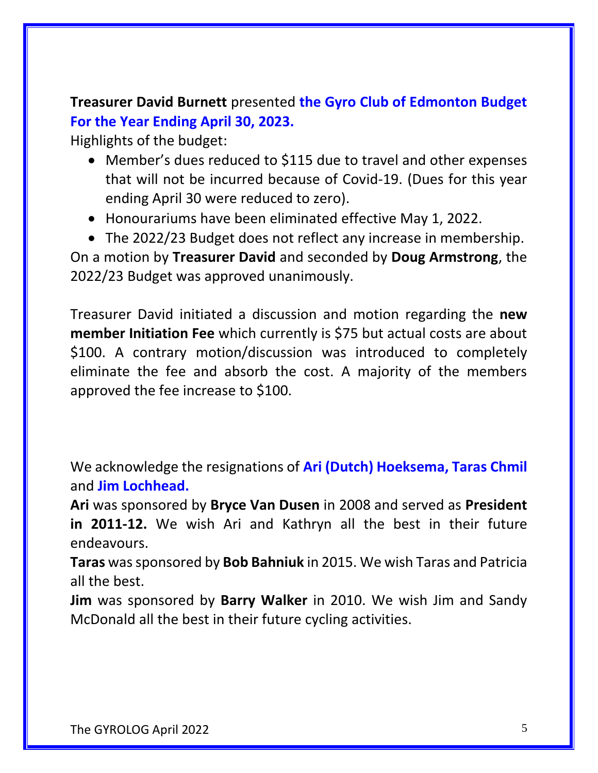**Treasurer David Burnett** presented **the Gyro Club of Edmonton Budget For the Year Ending April 30, 2023.**

Highlights of the budget:

- Member's dues reduced to \$115 due to travel and other expenses that will not be incurred because of Covid-19. (Dues for this year ending April 30 were reduced to zero).
- Honourariums have been eliminated effective May 1, 2022.
- The 2022/23 Budget does not reflect any increase in membership. On a motion by **Treasurer David** and seconded by **Doug Armstrong**, the 2022/23 Budget was approved unanimously.

Treasurer David initiated a discussion and motion regarding the **new member Initiation Fee** which currently is \$75 but actual costs are about \$100. A contrary motion/discussion was introduced to completely eliminate the fee and absorb the cost. A majority of the members approved the fee increase to \$100.

We acknowledge the resignations of **Ari (Dutch) Hoeksema, Taras Chmil** and **Jim Lochhead.**

**Ari** was sponsored by **Bryce Van Dusen** in 2008 and served as **President in 2011-12.** We wish Ari and Kathryn all the best in their future endeavours.

**Taras** was sponsored by **Bob Bahniuk** in 2015. We wish Taras and Patricia all the best.

**Jim** was sponsored by **Barry Walker** in 2010. We wish Jim and Sandy McDonald all the best in their future cycling activities.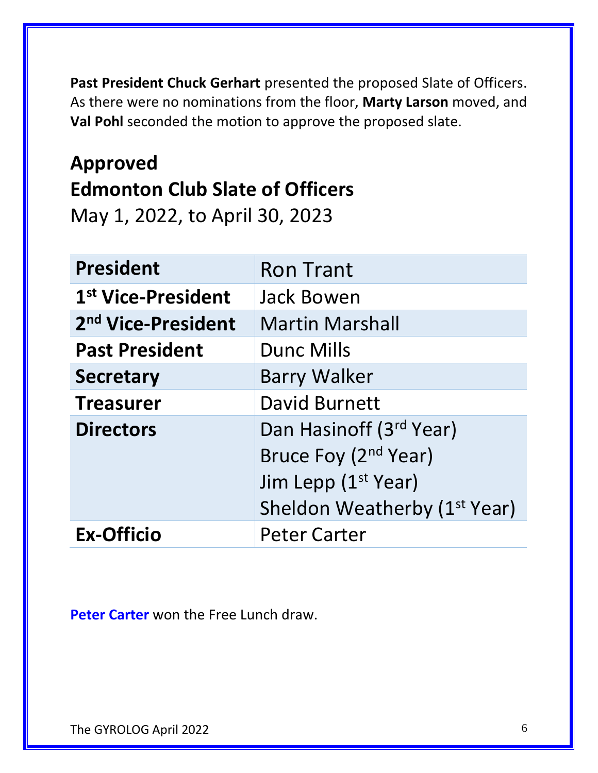**Past President Chuck Gerhart** presented the proposed Slate of Officers. As there were no nominations from the floor, **Marty Larson** moved, and **Val Pohl** seconded the motion to approve the proposed slate.

### **Approved Edmonton Club Slate of Officers**

May 1, 2022, to April 30, 2023

| <b>President</b>               | <b>Ron Trant</b>                         |  |  |  |
|--------------------------------|------------------------------------------|--|--|--|
| 1 <sup>st</sup> Vice-President | <b>Jack Bowen</b>                        |  |  |  |
| 2 <sup>nd</sup> Vice-President | <b>Martin Marshall</b>                   |  |  |  |
| <b>Past President</b>          | <b>Dunc Mills</b>                        |  |  |  |
| <b>Secretary</b>               | <b>Barry Walker</b>                      |  |  |  |
| <b>Treasurer</b>               | <b>David Burnett</b>                     |  |  |  |
| <b>Directors</b>               | Dan Hasinoff (3rd Year)                  |  |  |  |
|                                | Bruce Foy (2 <sup>nd</sup> Year)         |  |  |  |
|                                | Jim Lepp (1 <sup>st</sup> Year)          |  |  |  |
|                                | Sheldon Weatherby (1 <sup>st</sup> Year) |  |  |  |
| <b>Ex-Officio</b>              | <b>Peter Carter</b>                      |  |  |  |

**Peter Carter** won the Free Lunch draw.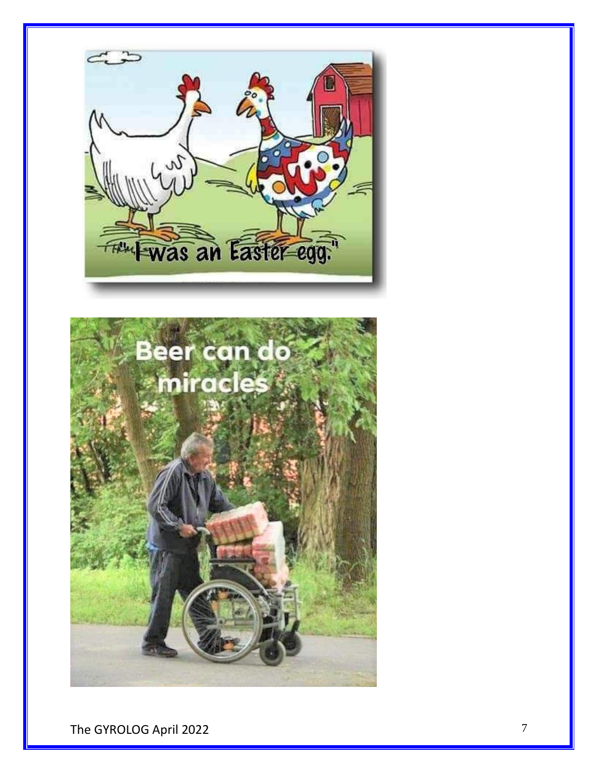

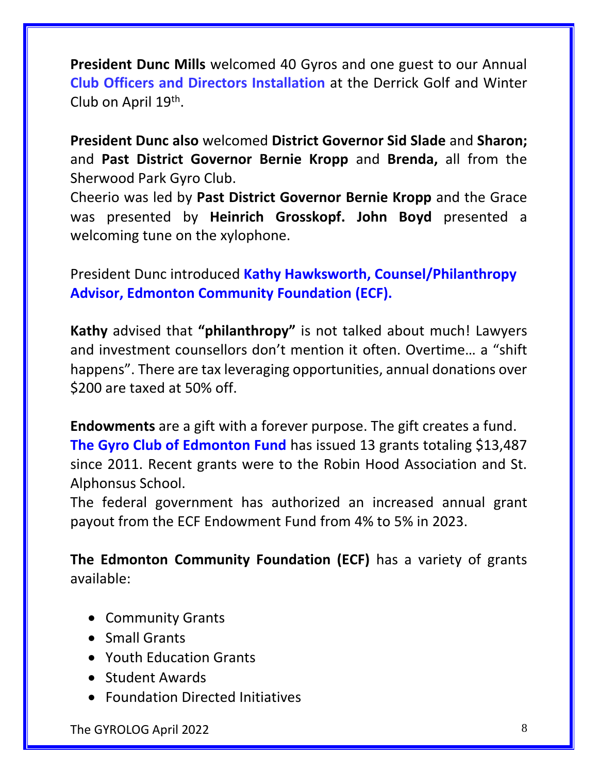**President Dunc Mills** welcomed 40 Gyros and one guest to our Annual **Club Officers and Directors Installation** at the Derrick Golf and Winter Club on April 19<sup>th</sup>.

**President Dunc also** welcomed **District Governor Sid Slade** and **Sharon;**  and **Past District Governor Bernie Kropp** and **Brenda,** all from the Sherwood Park Gyro Club.

Cheerio was led by **Past District Governor Bernie Kropp** and the Grace was presented by **Heinrich Grosskopf. John Boyd** presented a welcoming tune on the xylophone.

President Dunc introduced **Kathy Hawksworth, Counsel/Philanthropy Advisor, Edmonton Community Foundation (ECF).**

**Kathy** advised that **"philanthropy"** is not talked about much! Lawyers and investment counsellors don't mention it often. Overtime… a "shift happens". There are tax leveraging opportunities, annual donations over \$200 are taxed at 50% off.

**Endowments** are a gift with a forever purpose. The gift creates a fund. **The Gyro Club of Edmonton Fund** has issued 13 grants totaling \$13,487 since 2011. Recent grants were to the Robin Hood Association and St. Alphonsus School.

The federal government has authorized an increased annual grant payout from the ECF Endowment Fund from 4% to 5% in 2023.

**The Edmonton Community Foundation (ECF)** has a variety of grants available:

- Community Grants
- Small Grants
- Youth Education Grants
- Student Awards
- Foundation Directed Initiatives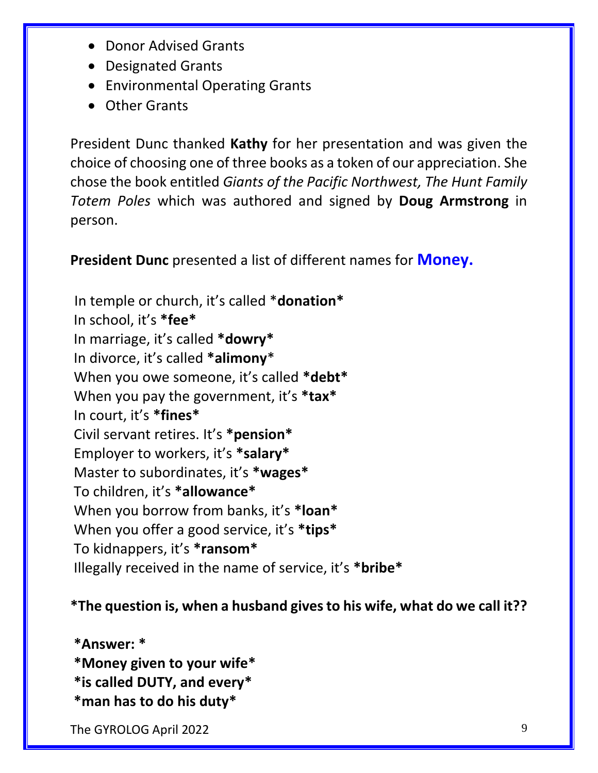- Donor Advised Grants
- Designated Grants
- Environmental Operating Grants
- Other Grants

President Dunc thanked **Kathy** for her presentation and was given the choice of choosing one of three books as a token of our appreciation. She chose the book entitled *Giants of the Pacific Northwest, The Hunt Family Totem Poles* which was authored and signed by **Doug Armstrong** in person.

**President Dunc** presented a list of different names for **Money.**

In temple or church, it's called \***donation\*** In school, it's **\*fee\*** In marriage, it's called **\*dowry\*** In divorce, it's called **\*alimony**\* When you owe someone, it's called **\*debt\*** When you pay the government, it's **\*tax\*** In court, it's **\*fines\*** Civil servant retires. It's **\*pension\*** Employer to workers, it's **\*salary\*** Master to subordinates, it's **\*wages\*** To children, it's **\*allowance\*** When you borrow from banks, it's **\*loan\*** When you offer a good service, it's **\*tips\*** To kidnappers, it's **\*ransom\*** Illegally received in the name of service, it's **\*bribe\***

#### **\*The question is, when a husband gives to his wife, what do we call it??**

**\*Answer: \***

- **\*Money given to your wife\***
- **\*is called DUTY, and every\***
- **\*man has to do his duty\***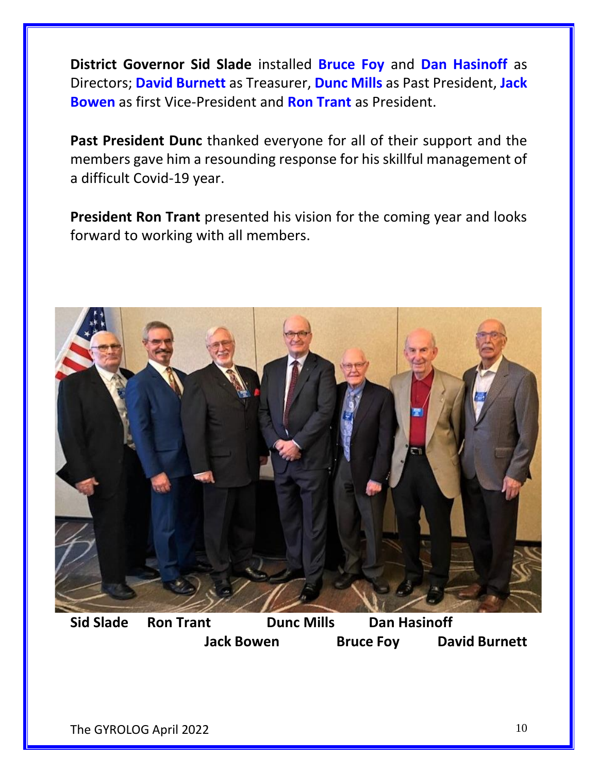**District Governor Sid Slade** installed **Bruce Foy** and **Dan Hasinoff** as Directors; **David Burnett** as Treasurer, **Dunc Mills** as Past President, **Jack Bowen** as first Vice-President and **Ron Trant** as President.

**Past President Dunc** thanked everyone for all of their support and the members gave him a resounding response for his skillful management of a difficult Covid-19 year.

**President Ron Trant** presented his vision for the coming year and looks forward to working with all members.



**Sid Slade Ron Trant Dunc Mills Dan Hasinoff Jack Bowen Bruce Foy David Burnett**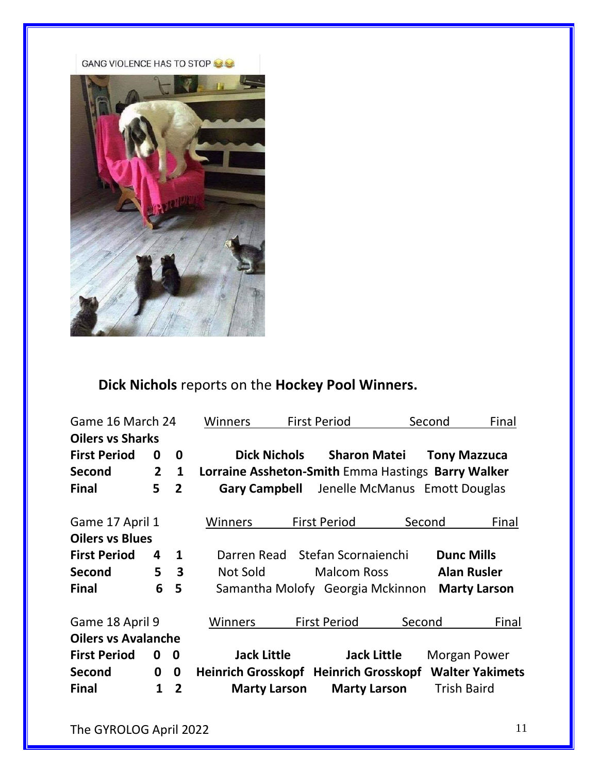GANG VIOLENCE HAS TO STOP



#### **Dick Nichols** reports on the **Hockey Pool Winners.**

| Game 16 March 24           |                |                         | <b>Winners</b>                                     |                     | <b>First Period</b>              |        | Second              | Final                  |
|----------------------------|----------------|-------------------------|----------------------------------------------------|---------------------|----------------------------------|--------|---------------------|------------------------|
| <b>Oilers vs Sharks</b>    |                |                         |                                                    |                     |                                  |        |                     |                        |
| <b>First Period</b>        | 0              | 0                       |                                                    | <b>Dick Nichols</b> | <b>Sharon Matei</b>              |        | <b>Tony Mazzuca</b> |                        |
| <b>Second</b>              | $\overline{2}$ | $\mathbf{1}$            | Lorraine Assheton-Smith Emma Hastings Barry Walker |                     |                                  |        |                     |                        |
| <b>Final</b>               | 5              | $\overline{2}$          | <b>Gary Campbell</b>                               |                     | Jenelle McManus Emott Douglas    |        |                     |                        |
| Game 17 April 1            |                |                         | Winners                                            |                     | <b>First Period</b>              | Second |                     | Final                  |
| <b>Oilers vs Blues</b>     |                |                         |                                                    |                     |                                  |        |                     |                        |
| <b>First Period</b>        | 4              | $\mathbf{1}$            | Darren Read                                        |                     | Stefan Scornaienchi              |        | <b>Dunc Mills</b>   |                        |
| <b>Second</b>              | 5              | $\overline{\mathbf{3}}$ | Not Sold                                           |                     | <b>Malcom Ross</b>               |        | <b>Alan Rusler</b>  |                        |
| <b>Final</b>               | 6              | 5                       |                                                    |                     | Samantha Molofy Georgia Mckinnon |        |                     | <b>Marty Larson</b>    |
| Game 18 April 9            |                |                         | Winners                                            |                     | <b>First Period</b>              | Second |                     | Final                  |
| <b>Oilers vs Avalanche</b> |                |                         |                                                    |                     |                                  |        |                     |                        |
| <b>First Period</b>        | 0              | $\mathbf 0$             | <b>Jack Little</b>                                 |                     | <b>Jack Little</b>               |        | Morgan Power        |                        |
| <b>Second</b>              | 0              | 0                       | Heinrich Grosskopf Heinrich Grosskopf              |                     |                                  |        |                     | <b>Walter Yakimets</b> |
| <b>Final</b>               | 1              | $\overline{2}$          | <b>Marty Larson</b>                                |                     | <b>Marty Larson</b>              |        | <b>Trish Baird</b>  |                        |